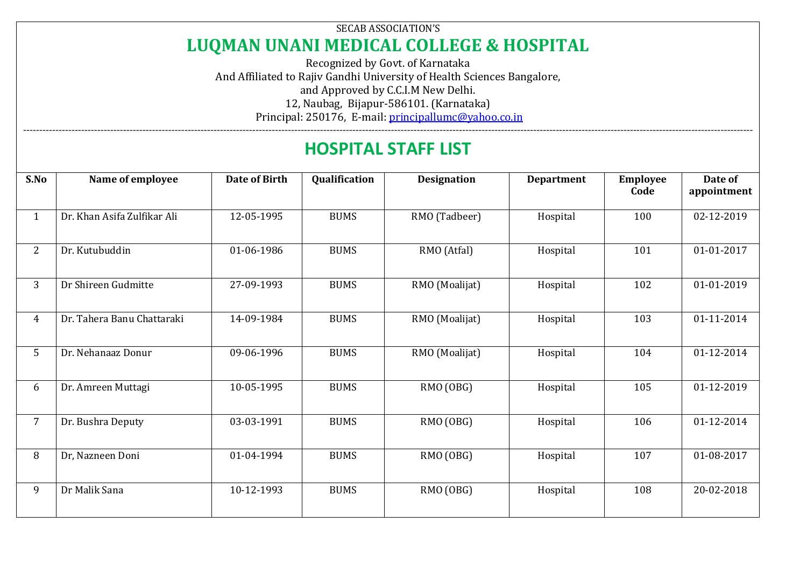## SECAB ASSOCIATION'S **LUQMAN UNANI MEDICAL COLLEGE & HOSPITAL**

Recognized by Govt. of Karnataka And Affiliated to Rajiv Gandhi University of Health Sciences Bangalore, and Approved by C.C.I.M New Delhi. 12, Naubag, Bijapur-586101. (Karnataka) Principal: 250176, E-mail[: principallumc@yahoo.co.in](mailto:principallumc@yahoo.co.in)

## ---------------------------------------------------------------------------------------------------------------------------------------------------------------------------------------------------------------------------------- **HOSPITAL STAFF LIST**

| S.No           | Name of employee            | Date of Birth | Qualification | <b>Designation</b> | <b>Department</b> | <b>Employee</b><br>Code | Date of<br>appointment |
|----------------|-----------------------------|---------------|---------------|--------------------|-------------------|-------------------------|------------------------|
| $\mathbf{1}$   | Dr. Khan Asifa Zulfikar Ali | 12-05-1995    | <b>BUMS</b>   | RMO (Tadbeer)      | Hospital          | 100                     | 02-12-2019             |
| $\overline{2}$ | Dr. Kutubuddin              | 01-06-1986    | <b>BUMS</b>   | RMO (Atfal)        | Hospital          | 101                     | 01-01-2017             |
| 3              | Dr Shireen Gudmitte         | 27-09-1993    | <b>BUMS</b>   | RMO (Moalijat)     | Hospital          | 102                     | 01-01-2019             |
| $\overline{4}$ | Dr. Tahera Banu Chattaraki  | 14-09-1984    | <b>BUMS</b>   | RMO (Moalijat)     | Hospital          | 103                     | 01-11-2014             |
| 5              | Dr. Nehanaaz Donur          | 09-06-1996    | <b>BUMS</b>   | RMO (Moalijat)     | Hospital          | 104                     | 01-12-2014             |
| 6              | Dr. Amreen Muttagi          | 10-05-1995    | <b>BUMS</b>   | RMO (OBG)          | Hospital          | 105                     | 01-12-2019             |
| $\overline{7}$ | Dr. Bushra Deputy           | 03-03-1991    | <b>BUMS</b>   | RMO (OBG)          | Hospital          | 106                     | 01-12-2014             |
| 8              | Dr, Nazneen Doni            | 01-04-1994    | <b>BUMS</b>   | RMO (OBG)          | Hospital          | 107                     | 01-08-2017             |
| 9              | Dr Malik Sana               | 10-12-1993    | <b>BUMS</b>   | RMO (OBG)          | Hospital          | 108                     | 20-02-2018             |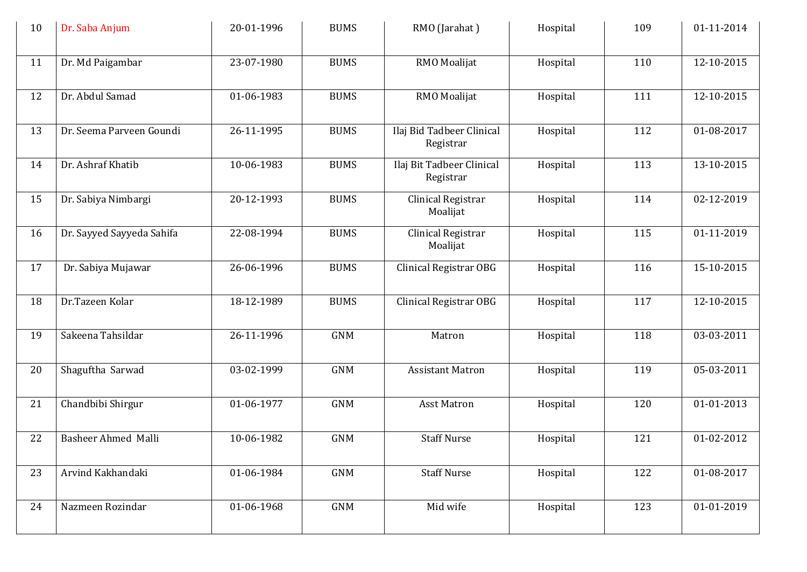| 10 | Dr. Saba Anjum            | 20-01-1996 | <b>BUMS</b> | RMO (Jarahat)                          | Hospital | 109 | 01-11-2014 |
|----|---------------------------|------------|-------------|----------------------------------------|----------|-----|------------|
| 11 | Dr. Md Paigambar          | 23-07-1980 | <b>BUMS</b> | RMO Moalijat                           | Hospital | 110 | 12-10-2015 |
| 12 | Dr. Abdul Samad           | 01-06-1983 | <b>BUMS</b> | RMO Moalijat                           | Hospital | 111 | 12-10-2015 |
| 13 | Dr. Seema Parveen Goundi  | 26-11-1995 | <b>BUMS</b> | Ilaj Bid Tadbeer Clinical<br>Registrar | Hospital | 112 | 01-08-2017 |
| 14 | Dr. Ashraf Khatib         | 10-06-1983 | <b>BUMS</b> | Ilaj Bit Tadbeer Clinical<br>Registrar | Hospital | 113 | 13-10-2015 |
| 15 | Dr. Sabiya Nimbargi       | 20-12-1993 | <b>BUMS</b> | Clinical Registrar<br>Moalijat         | Hospital | 114 | 02-12-2019 |
| 16 | Dr. Sayyed Sayyeda Sahifa | 22-08-1994 | <b>BUMS</b> | Clinical Registrar<br>Moalijat         | Hospital | 115 | 01-11-2019 |
| 17 | Dr. Sabiya Mujawar        | 26-06-1996 | <b>BUMS</b> | Clinical Registrar OBG                 | Hospital | 116 | 15-10-2015 |
| 18 | Dr.Tazeen Kolar           | 18-12-1989 | <b>BUMS</b> | Clinical Registrar OBG                 | Hospital | 117 | 12-10-2015 |
| 19 | Sakeena Tahsildar         | 26-11-1996 | <b>GNM</b>  | Matron                                 | Hospital | 118 | 03-03-2011 |
| 20 | Shaguftha Sarwad          | 03-02-1999 | <b>GNM</b>  | <b>Assistant Matron</b>                | Hospital | 119 | 05-03-2011 |
| 21 | Chandbibi Shirgur         | 01-06-1977 | <b>GNM</b>  | <b>Asst Matron</b>                     | Hospital | 120 | 01-01-2013 |
| 22 | Basheer Ahmed Malli       | 10-06-1982 | <b>GNM</b>  | <b>Staff Nurse</b>                     | Hospital | 121 | 01-02-2012 |
| 23 | Arvind Kakhandaki         | 01-06-1984 | <b>GNM</b>  | <b>Staff Nurse</b>                     | Hospital | 122 | 01-08-2017 |
| 24 | Nazmeen Rozindar          | 01-06-1968 | <b>GNM</b>  | Mid wife                               | Hospital | 123 | 01-01-2019 |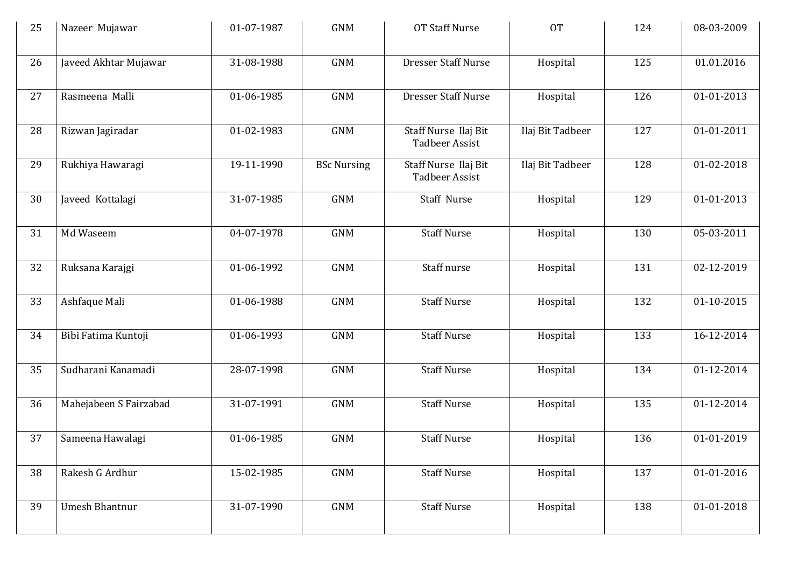| 25 | Nazeer Mujawar         | 01-07-1987 | <b>GNM</b>         | <b>OT Staff Nurse</b>                         | <b>OT</b>        | 124 | 08-03-2009 |
|----|------------------------|------------|--------------------|-----------------------------------------------|------------------|-----|------------|
| 26 | Javeed Akhtar Mujawar  | 31-08-1988 | <b>GNM</b>         | <b>Dresser Staff Nurse</b>                    | Hospital         | 125 | 01.01.2016 |
| 27 | Rasmeena Malli         | 01-06-1985 | <b>GNM</b>         | <b>Dresser Staff Nurse</b>                    | Hospital         | 126 | 01-01-2013 |
| 28 | Rizwan Jagiradar       | 01-02-1983 | <b>GNM</b>         | Staff Nurse Ilaj Bit<br><b>Tadbeer Assist</b> | Ilaj Bit Tadbeer | 127 | 01-01-2011 |
| 29 | Rukhiya Hawaragi       | 19-11-1990 | <b>BSc Nursing</b> | Staff Nurse Ilaj Bit<br><b>Tadbeer Assist</b> | Ilaj Bit Tadbeer | 128 | 01-02-2018 |
| 30 | Javeed Kottalagi       | 31-07-1985 | <b>GNM</b>         | Staff Nurse                                   | Hospital         | 129 | 01-01-2013 |
| 31 | Md Waseem              | 04-07-1978 | <b>GNM</b>         | <b>Staff Nurse</b>                            | Hospital         | 130 | 05-03-2011 |
| 32 | Ruksana Karajgi        | 01-06-1992 | <b>GNM</b>         | Staff nurse                                   | Hospital         | 131 | 02-12-2019 |
| 33 | Ashfaque Mali          | 01-06-1988 | <b>GNM</b>         | <b>Staff Nurse</b>                            | Hospital         | 132 | 01-10-2015 |
| 34 | Bibi Fatima Kuntoji    | 01-06-1993 | <b>GNM</b>         | <b>Staff Nurse</b>                            | Hospital         | 133 | 16-12-2014 |
| 35 | Sudharani Kanamadi     | 28-07-1998 | <b>GNM</b>         | <b>Staff Nurse</b>                            | Hospital         | 134 | 01-12-2014 |
| 36 | Mahejabeen S Fairzabad | 31-07-1991 | <b>GNM</b>         | <b>Staff Nurse</b>                            | Hospital         | 135 | 01-12-2014 |
| 37 | Sameena Hawalagi       | 01-06-1985 | <b>GNM</b>         | <b>Staff Nurse</b>                            | Hospital         | 136 | 01-01-2019 |
| 38 | Rakesh G Ardhur        | 15-02-1985 | <b>GNM</b>         | <b>Staff Nurse</b>                            | Hospital         | 137 | 01-01-2016 |
| 39 | <b>Umesh Bhantnur</b>  | 31-07-1990 | <b>GNM</b>         | <b>Staff Nurse</b>                            | Hospital         | 138 | 01-01-2018 |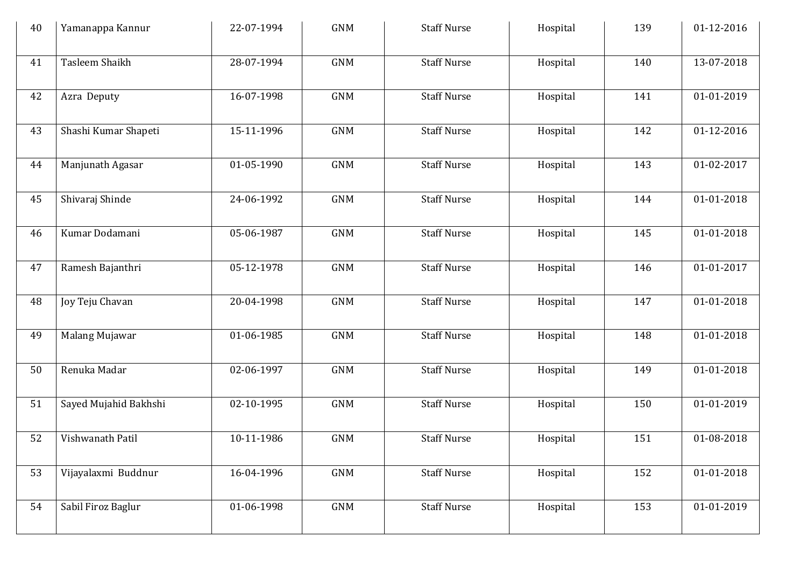| 40 | Yamanappa Kannur      | 22-07-1994 | <b>GNM</b>     | <b>Staff Nurse</b> | Hospital | 139 | 01-12-2016 |
|----|-----------------------|------------|----------------|--------------------|----------|-----|------------|
| 41 | Tasleem Shaikh        | 28-07-1994 | <b>GNM</b>     | <b>Staff Nurse</b> | Hospital | 140 | 13-07-2018 |
| 42 | Azra Deputy           | 16-07-1998 | <b>GNM</b>     | <b>Staff Nurse</b> | Hospital | 141 | 01-01-2019 |
| 43 | Shashi Kumar Shapeti  | 15-11-1996 | <b>GNM</b>     | <b>Staff Nurse</b> | Hospital | 142 | 01-12-2016 |
| 44 | Manjunath Agasar      | 01-05-1990 | <b>GNM</b>     | <b>Staff Nurse</b> | Hospital | 143 | 01-02-2017 |
| 45 | Shivaraj Shinde       | 24-06-1992 | <b>GNM</b>     | <b>Staff Nurse</b> | Hospital | 144 | 01-01-2018 |
| 46 | Kumar Dodamani        | 05-06-1987 | <b>GNM</b>     | <b>Staff Nurse</b> | Hospital | 145 | 01-01-2018 |
| 47 | Ramesh Bajanthri      | 05-12-1978 | <b>GNM</b>     | <b>Staff Nurse</b> | Hospital | 146 | 01-01-2017 |
| 48 | Joy Teju Chavan       | 20-04-1998 | <b>GNM</b>     | <b>Staff Nurse</b> | Hospital | 147 | 01-01-2018 |
| 49 | Malang Mujawar        | 01-06-1985 | <b>GNM</b>     | <b>Staff Nurse</b> | Hospital | 148 | 01-01-2018 |
| 50 | Renuka Madar          | 02-06-1997 | <b>GNM</b>     | <b>Staff Nurse</b> | Hospital | 149 | 01-01-2018 |
| 51 | Sayed Mujahid Bakhshi | 02-10-1995 | <b>GNM</b>     | <b>Staff Nurse</b> | Hospital | 150 | 01-01-2019 |
| 52 | Vishwanath Patil      | 10-11-1986 | <b>GNM</b>     | <b>Staff Nurse</b> | Hospital | 151 | 01-08-2018 |
| 53 | Vijayalaxmi Buddnur   | 16-04-1996 | $\mathsf{GNM}$ | <b>Staff Nurse</b> | Hospital | 152 | 01-01-2018 |
| 54 | Sabil Firoz Baglur    | 01-06-1998 | <b>GNM</b>     | <b>Staff Nurse</b> | Hospital | 153 | 01-01-2019 |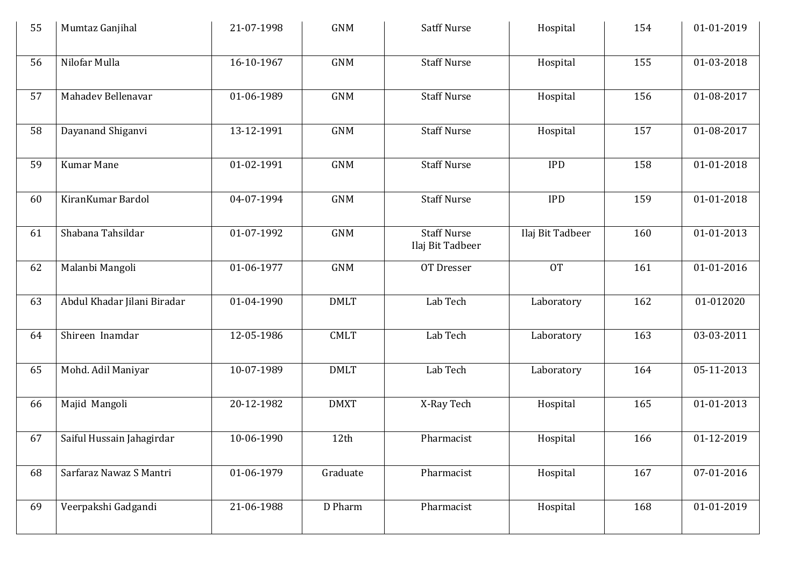| 55 | Mumtaz Ganjihal             | 21-07-1998 | <b>GNM</b>  | <b>Satff Nurse</b>                     | Hospital         | 154 | 01-01-2019 |
|----|-----------------------------|------------|-------------|----------------------------------------|------------------|-----|------------|
| 56 | Nilofar Mulla               | 16-10-1967 | <b>GNM</b>  | <b>Staff Nurse</b>                     | Hospital         | 155 | 01-03-2018 |
| 57 | Mahadev Bellenavar          | 01-06-1989 | <b>GNM</b>  | <b>Staff Nurse</b>                     | Hospital         | 156 | 01-08-2017 |
| 58 | Dayanand Shiganvi           | 13-12-1991 | <b>GNM</b>  | <b>Staff Nurse</b>                     | Hospital         | 157 | 01-08-2017 |
| 59 | Kumar Mane                  | 01-02-1991 | <b>GNM</b>  | <b>Staff Nurse</b>                     | <b>IPD</b>       | 158 | 01-01-2018 |
| 60 | KiranKumar Bardol           | 04-07-1994 | <b>GNM</b>  | <b>Staff Nurse</b>                     | <b>IPD</b>       | 159 | 01-01-2018 |
| 61 | Shabana Tahsildar           | 01-07-1992 | <b>GNM</b>  | <b>Staff Nurse</b><br>Ilaj Bit Tadbeer | Ilaj Bit Tadbeer | 160 | 01-01-2013 |
| 62 | Malanbi Mangoli             | 01-06-1977 | <b>GNM</b>  | OT Dresser                             | <b>OT</b>        | 161 | 01-01-2016 |
| 63 | Abdul Khadar Jilani Biradar | 01-04-1990 | <b>DMLT</b> | Lab Tech                               | Laboratory       | 162 | 01-012020  |
| 64 | Shireen Inamdar             | 12-05-1986 | <b>CMLT</b> | Lab Tech                               | Laboratory       | 163 | 03-03-2011 |
| 65 | Mohd. Adil Maniyar          | 10-07-1989 | <b>DMLT</b> | Lab Tech                               | Laboratory       | 164 | 05-11-2013 |
| 66 | Majid Mangoli               | 20-12-1982 | <b>DMXT</b> | X-Ray Tech                             | Hospital         | 165 | 01-01-2013 |
| 67 | Saiful Hussain Jahagirdar   | 10-06-1990 | 12th        | Pharmacist                             | Hospital         | 166 | 01-12-2019 |
| 68 | Sarfaraz Nawaz S Mantri     | 01-06-1979 | Graduate    | Pharmacist                             | Hospital         | 167 | 07-01-2016 |
| 69 | Veerpakshi Gadgandi         | 21-06-1988 | D Pharm     | Pharmacist                             | Hospital         | 168 | 01-01-2019 |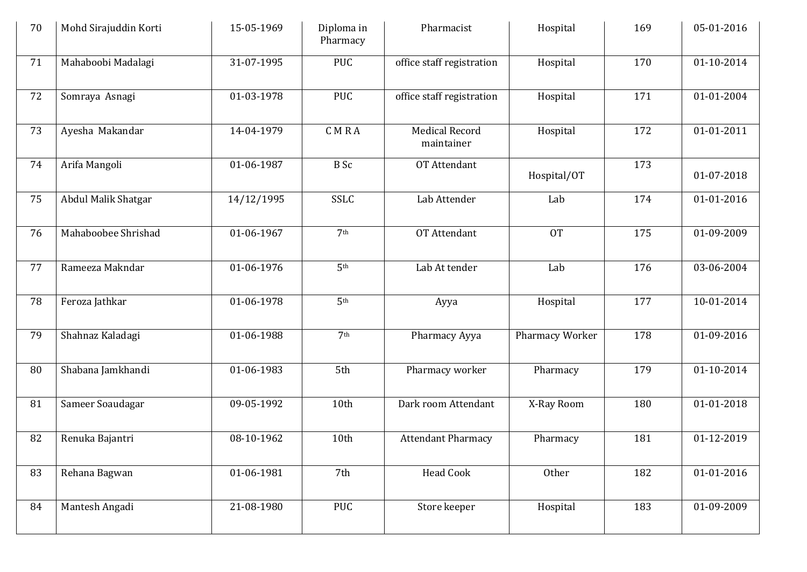| 70 | Mohd Sirajuddin Korti | 15-05-1969 | Diploma in<br>Pharmacy | Pharmacist                          | Hospital        | 169 | 05-01-2016 |
|----|-----------------------|------------|------------------------|-------------------------------------|-----------------|-----|------------|
| 71 | Mahaboobi Madalagi    | 31-07-1995 | <b>PUC</b>             | office staff registration           | Hospital        | 170 | 01-10-2014 |
| 72 | Somraya Asnagi        | 01-03-1978 | PUC                    | office staff registration           | Hospital        | 171 | 01-01-2004 |
| 73 | Ayesha Makandar       | 14-04-1979 | CMRA                   | <b>Medical Record</b><br>maintainer | Hospital        | 172 | 01-01-2011 |
| 74 | Arifa Mangoli         | 01-06-1987 | <b>B</b> Sc            | OT Attendant                        | Hospital/OT     | 173 | 01-07-2018 |
| 75 | Abdul Malik Shatgar   | 14/12/1995 | <b>SSLC</b>            | Lab Attender                        | Lab             | 174 | 01-01-2016 |
| 76 | Mahaboobee Shrishad   | 01-06-1967 | 7 <sup>th</sup>        | OT Attendant                        | <b>OT</b>       | 175 | 01-09-2009 |
| 77 | Rameeza Makndar       | 01-06-1976 | 5 <sup>th</sup>        | Lab At tender                       | Lab             | 176 | 03-06-2004 |
| 78 | Feroza Jathkar        | 01-06-1978 | 5 <sup>th</sup>        | Ayya                                | Hospital        | 177 | 10-01-2014 |
| 79 | Shahnaz Kaladagi      | 01-06-1988 | 7 <sup>th</sup>        | Pharmacy Ayya                       | Pharmacy Worker | 178 | 01-09-2016 |
| 80 | Shabana Jamkhandi     | 01-06-1983 | 5th                    | Pharmacy worker                     | Pharmacy        | 179 | 01-10-2014 |
| 81 | Sameer Soaudagar      | 09-05-1992 | 10th                   | Dark room Attendant                 | X-Ray Room      | 180 | 01-01-2018 |
| 82 | Renuka Bajantri       | 08-10-1962 | 10th                   | <b>Attendant Pharmacy</b>           | Pharmacy        | 181 | 01-12-2019 |
| 83 | Rehana Bagwan         | 01-06-1981 | 7th                    | Head Cook                           | Other           | 182 | 01-01-2016 |
| 84 | Mantesh Angadi        | 21-08-1980 | PUC                    | Store keeper                        | Hospital        | 183 | 01-09-2009 |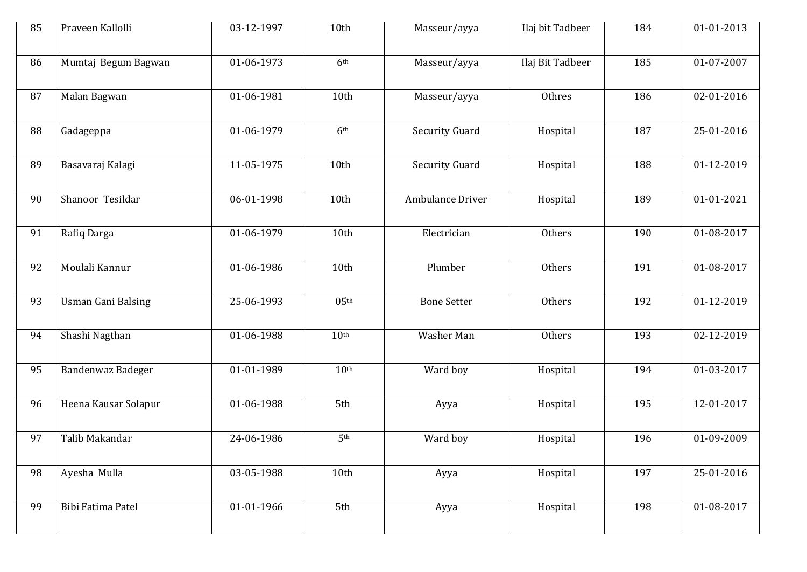| 85 | Praveen Kallolli          | 03-12-1997 | 10th             | Masseur/ayya          | Ilaj bit Tadbeer | 184 | 01-01-2013 |
|----|---------------------------|------------|------------------|-----------------------|------------------|-----|------------|
| 86 | Mumtaj Begum Bagwan       | 01-06-1973 | 6 <sup>th</sup>  | Masseur/ayya          | Ilaj Bit Tadbeer | 185 | 01-07-2007 |
| 87 | Malan Bagwan              | 01-06-1981 | 10th             | Masseur/ayya          | Othres           | 186 | 02-01-2016 |
| 88 | Gadageppa                 | 01-06-1979 | 6 <sup>th</sup>  | <b>Security Guard</b> | Hospital         | 187 | 25-01-2016 |
| 89 | Basavaraj Kalagi          | 11-05-1975 | 10th             | Security Guard        | Hospital         | 188 | 01-12-2019 |
| 90 | Shanoor Tesildar          | 06-01-1998 | 10th             | Ambulance Driver      | Hospital         | 189 | 01-01-2021 |
| 91 | Rafiq Darga               | 01-06-1979 | 10th             | Electrician           | Others           | 190 | 01-08-2017 |
| 92 | Moulali Kannur            | 01-06-1986 | 10th             | Plumber               | Others           | 191 | 01-08-2017 |
| 93 | <b>Usman Gani Balsing</b> | 25-06-1993 | 05 <sup>th</sup> | <b>Bone Setter</b>    | Others           | 192 | 01-12-2019 |
| 94 | Shashi Nagthan            | 01-06-1988 | 10 <sup>th</sup> | Washer Man            | Others           | 193 | 02-12-2019 |
| 95 | Bandenwaz Badeger         | 01-01-1989 | 10 <sup>th</sup> | Ward boy              | Hospital         | 194 | 01-03-2017 |
| 96 | Heena Kausar Solapur      | 01-06-1988 | 5th              | Ayya                  | Hospital         | 195 | 12-01-2017 |
| 97 | Talib Makandar            | 24-06-1986 | 5 <sup>th</sup>  | Ward boy              | Hospital         | 196 | 01-09-2009 |
| 98 | Ayesha Mulla              | 03-05-1988 | 10th             | Ayya                  | Hospital         | 197 | 25-01-2016 |
| 99 | Bibi Fatima Patel         | 01-01-1966 | 5th              | Ayya                  | Hospital         | 198 | 01-08-2017 |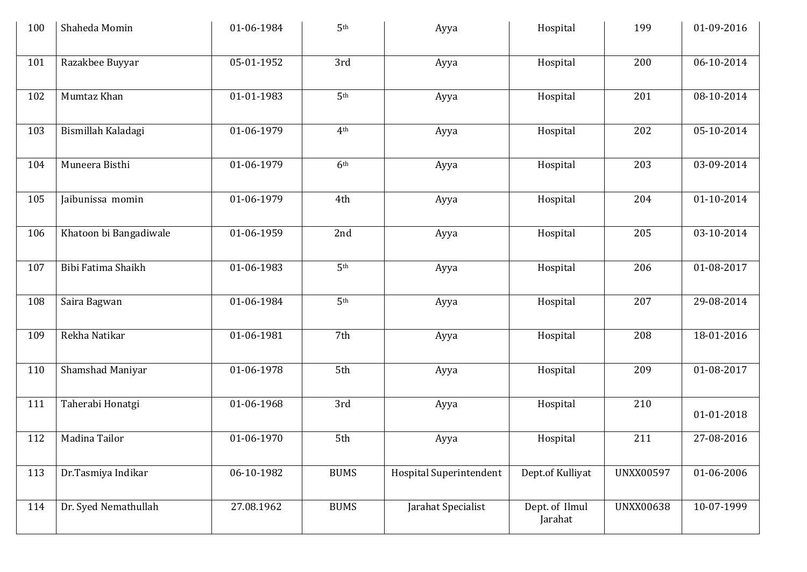| 100 | Shaheda Momin          | 01-06-1984 | 5 <sup>th</sup> | Ayya                           | Hospital                  | 199              | 01-09-2016 |
|-----|------------------------|------------|-----------------|--------------------------------|---------------------------|------------------|------------|
| 101 | Razakbee Buyyar        | 05-01-1952 | 3rd             | Ayya                           | Hospital                  | 200              | 06-10-2014 |
| 102 | Mumtaz Khan            | 01-01-1983 | 5 <sup>th</sup> | Ayya                           | Hospital                  | 201              | 08-10-2014 |
| 103 | Bismillah Kaladagi     | 01-06-1979 | 4 <sup>th</sup> | Ayya                           | Hospital                  | 202              | 05-10-2014 |
| 104 | Muneera Bisthi         | 01-06-1979 | 6 <sup>th</sup> | Ayya                           | Hospital                  | 203              | 03-09-2014 |
| 105 | Jaibunissa momin       | 01-06-1979 | 4th             | Ayya                           | Hospital                  | 204              | 01-10-2014 |
| 106 | Khatoon bi Bangadiwale | 01-06-1959 | 2nd             | Ayya                           | Hospital                  | 205              | 03-10-2014 |
| 107 | Bibi Fatima Shaikh     | 01-06-1983 | 5 <sup>th</sup> | Ayya                           | Hospital                  | 206              | 01-08-2017 |
| 108 | Saira Bagwan           | 01-06-1984 | 5 <sup>th</sup> | Ayya                           | Hospital                  | 207              | 29-08-2014 |
| 109 | Rekha Natikar          | 01-06-1981 | 7th             | Ayya                           | Hospital                  | 208              | 18-01-2016 |
| 110 | Shamshad Maniyar       | 01-06-1978 | 5th             | Ayya                           | Hospital                  | 209              | 01-08-2017 |
| 111 | Taherabi Honatgi       | 01-06-1968 | 3rd             | Ayya                           | Hospital                  | 210              | 01-01-2018 |
| 112 | Madina Tailor          | 01-06-1970 | 5th             | Ayya                           | Hospital                  | 211              | 27-08-2016 |
| 113 | Dr.Tasmiya Indikar     | 06-10-1982 | <b>BUMS</b>     | <b>Hospital Superintendent</b> | Dept.of Kulliyat          | <b>UNXX00597</b> | 01-06-2006 |
| 114 | Dr. Syed Nemathullah   | 27.08.1962 | <b>BUMS</b>     | Jarahat Specialist             | Dept. of Ilmul<br>Jarahat | <b>UNXX00638</b> | 10-07-1999 |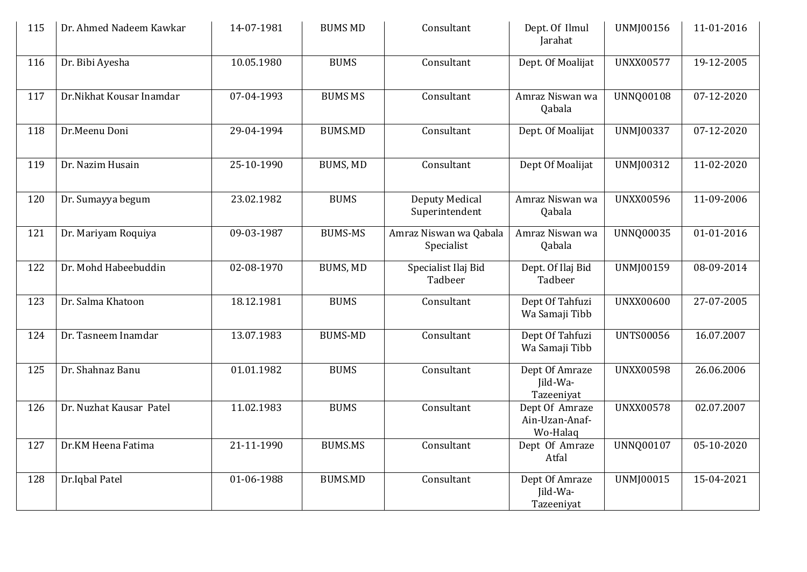| 115 | Dr. Ahmed Nadeem Kawkar  | 14-07-1981 | <b>BUMS MD</b>  | Consultant                           | Dept. Of Ilmul<br>Jarahat                    | UNMJ00156        | 11-01-2016 |
|-----|--------------------------|------------|-----------------|--------------------------------------|----------------------------------------------|------------------|------------|
| 116 | Dr. Bibi Ayesha          | 10.05.1980 | <b>BUMS</b>     | Consultant                           | Dept. Of Moalijat                            | <b>UNXX00577</b> | 19-12-2005 |
| 117 | Dr.Nikhat Kousar Inamdar | 07-04-1993 | <b>BUMS MS</b>  | Consultant                           | Amraz Niswan wa<br>Qabala                    | <b>UNNQ00108</b> | 07-12-2020 |
| 118 | Dr.Meenu Doni            | 29-04-1994 | <b>BUMS.MD</b>  | Consultant                           | Dept. Of Moalijat                            | UNMJ00337        | 07-12-2020 |
| 119 | Dr. Nazim Husain         | 25-10-1990 | <b>BUMS, MD</b> | Consultant                           | Dept Of Moalijat                             | UNMJ00312        | 11-02-2020 |
| 120 | Dr. Sumayya begum        | 23.02.1982 | <b>BUMS</b>     | Deputy Medical<br>Superintendent     | Amraz Niswan wa<br>Qabala                    | <b>UNXX00596</b> | 11-09-2006 |
| 121 | Dr. Mariyam Roquiya      | 09-03-1987 | <b>BUMS-MS</b>  | Amraz Niswan wa Qabala<br>Specialist | Amraz Niswan wa<br>Qabala                    | <b>UNNQ00035</b> | 01-01-2016 |
| 122 | Dr. Mohd Habeebuddin     | 02-08-1970 | BUMS, MD        | Specialist Ilaj Bid<br>Tadbeer       | Dept. Of Ilaj Bid<br>Tadbeer                 | UNMJ00159        | 08-09-2014 |
| 123 | Dr. Salma Khatoon        | 18.12.1981 | <b>BUMS</b>     | Consultant                           | Dept Of Tahfuzi<br>Wa Samaji Tibb            | <b>UNXX00600</b> | 27-07-2005 |
| 124 | Dr. Tasneem Inamdar      | 13.07.1983 | <b>BUMS-MD</b>  | Consultant                           | Dept Of Tahfuzi<br>Wa Samaji Tibb            | <b>UNTS00056</b> | 16.07.2007 |
| 125 | Dr. Shahnaz Banu         | 01.01.1982 | <b>BUMS</b>     | Consultant                           | Dept Of Amraze<br>Jild-Wa-<br>Tazeeniyat     | <b>UNXX00598</b> | 26.06.2006 |
| 126 | Dr. Nuzhat Kausar Patel  | 11.02.1983 | <b>BUMS</b>     | Consultant                           | Dept Of Amraze<br>Ain-Uzan-Anaf-<br>Wo-Halaq | <b>UNXX00578</b> | 02.07.2007 |
| 127 | Dr.KM Heena Fatima       | 21-11-1990 | <b>BUMS.MS</b>  | Consultant                           | Dept Of Amraze<br>Atfal                      | <b>UNNQ00107</b> | 05-10-2020 |
| 128 | Dr.Iqbal Patel           | 01-06-1988 | <b>BUMS.MD</b>  | Consultant                           | Dept Of Amraze<br>Jild-Wa-<br>Tazeeniyat     | <b>UNMJ00015</b> | 15-04-2021 |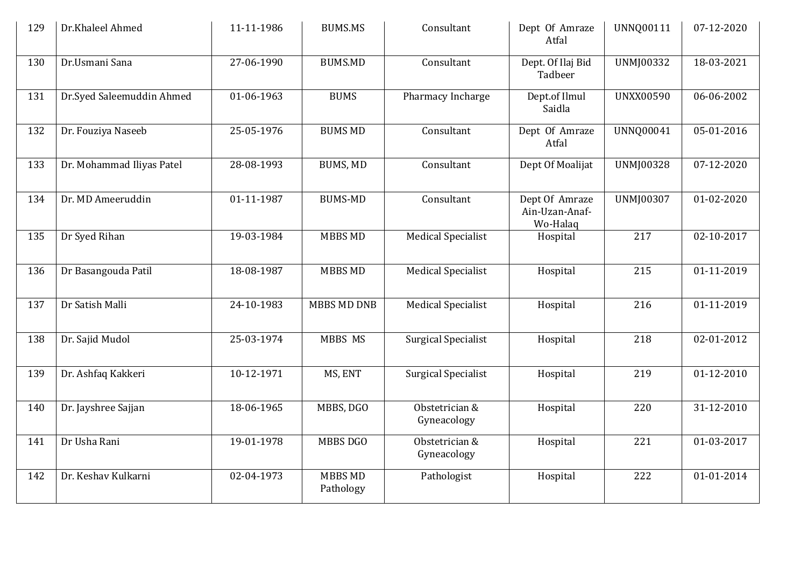| 129 | Dr.Khaleel Ahmed          | 11-11-1986 | <b>BUMS.MS</b>              | Consultant                    | Dept Of Amraze<br>Atfal                      | UNNQ00111        | 07-12-2020       |
|-----|---------------------------|------------|-----------------------------|-------------------------------|----------------------------------------------|------------------|------------------|
| 130 | Dr.Usmani Sana            | 27-06-1990 | <b>BUMS.MD</b>              | Consultant                    | Dept. Of Ilaj Bid<br>Tadbeer                 | UNMJ00332        | 18-03-2021       |
| 131 | Dr.Syed Saleemuddin Ahmed | 01-06-1963 | <b>BUMS</b>                 | Pharmacy Incharge             | Dept.of Ilmul<br>Saidla                      | <b>UNXX00590</b> | 06-06-2002       |
| 132 | Dr. Fouziya Naseeb        | 25-05-1976 | <b>BUMS MD</b>              | Consultant                    | Dept Of Amraze<br>Atfal                      | <b>UNNQ00041</b> | 05-01-2016       |
| 133 | Dr. Mohammad Iliyas Patel | 28-08-1993 | <b>BUMS, MD</b>             | Consultant                    | Dept Of Moalijat                             | <b>UNMJ00328</b> | 07-12-2020       |
| 134 | Dr. MD Ameeruddin         | 01-11-1987 | <b>BUMS-MD</b>              | Consultant                    | Dept Of Amraze<br>Ain-Uzan-Anaf-<br>Wo-Halaq | UNMJ00307        | 01-02-2020       |
| 135 | Dr Syed Rihan             | 19-03-1984 | <b>MBBS MD</b>              | <b>Medical Specialist</b>     | Hospital                                     | 217              | 02-10-2017       |
| 136 | Dr Basangouda Patil       | 18-08-1987 | <b>MBBS MD</b>              | <b>Medical Specialist</b>     | Hospital                                     | 215              | 01-11-2019       |
| 137 | Dr Satish Malli           | 24-10-1983 | <b>MBBS MD DNB</b>          | <b>Medical Specialist</b>     | Hospital                                     | $\overline{216}$ | 01-11-2019       |
| 138 | Dr. Sajid Mudol           | 25-03-1974 | MBBS MS                     | <b>Surgical Specialist</b>    | Hospital                                     | 218              | 02-01-2012       |
| 139 | Dr. Ashfaq Kakkeri        | 10-12-1971 | MS, ENT                     | <b>Surgical Specialist</b>    | Hospital                                     | 219              | 01-12-2010       |
| 140 | Dr. Jayshree Sajjan       | 18-06-1965 | MBBS, DGO                   | Obstetrician &<br>Gyneacology | Hospital                                     | 220              | 31-12-2010       |
| 141 | Dr Usha Rani              | 19-01-1978 | MBBS DGO                    | Obstetrician &<br>Gyneacology | Hospital                                     | 221              | 01-03-2017       |
| 142 | Dr. Keshav Kulkarni       | 02-04-1973 | <b>MBBS MD</b><br>Pathology | Pathologist                   | Hospital                                     | 222              | $01 - 01 - 2014$ |